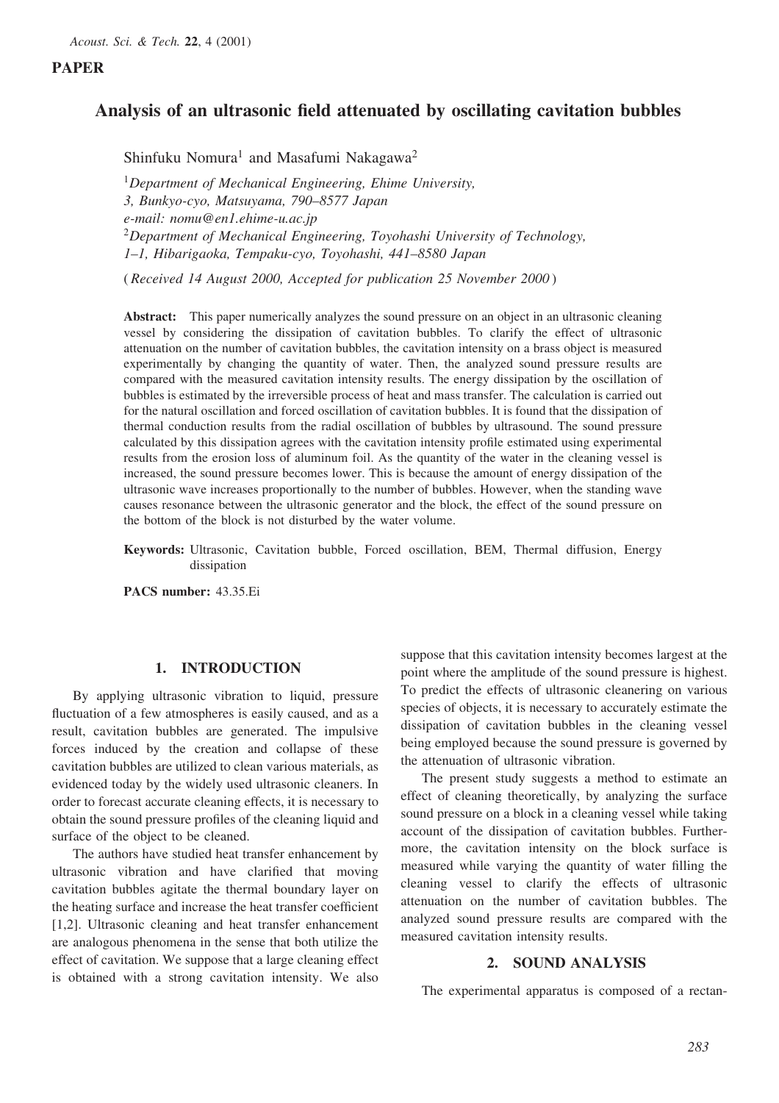# PAPER

# Analysis of an ultrasonic field attenuated by oscillating cavitation bubbles

Shinfuku Nomura<sup>1</sup> and Masafumi Nakagawa<sup>2</sup>

 $1$ Department of Mechanical Engineering, Ehime University, 3, Bunkyo-cyo, Matsuyama, 790–8577 Japan e-mail: nomu@en1.ehime-u.ac.jp <sup>2</sup>Department of Mechanical Engineering, Toyohashi University of Technology, 1–1, Hibarigaoka, Tempaku-cyo, Toyohashi, 441–8580 Japan

( Received 14 August 2000, Accepted for publication 25 November 2000 )

Abstract: This paper numerically analyzes the sound pressure on an object in an ultrasonic cleaning vessel by considering the dissipation of cavitation bubbles. To clarify the effect of ultrasonic attenuation on the number of cavitation bubbles, the cavitation intensity on a brass object is measured experimentally by changing the quantity of water. Then, the analyzed sound pressure results are compared with the measured cavitation intensity results. The energy dissipation by the oscillation of bubbles is estimated by the irreversible process of heat and mass transfer. The calculation is carried out for the natural oscillation and forced oscillation of cavitation bubbles. It is found that the dissipation of thermal conduction results from the radial oscillation of bubbles by ultrasound. The sound pressure calculated by this dissipation agrees with the cavitation intensity profile estimated using experimental results from the erosion loss of aluminum foil. As the quantity of the water in the cleaning vessel is increased, the sound pressure becomes lower. This is because the amount of energy dissipation of the ultrasonic wave increases proportionally to the number of bubbles. However, when the standing wave causes resonance between the ultrasonic generator and the block, the effect of the sound pressure on the bottom of the block is not disturbed by the water volume.

Keywords: Ultrasonic, Cavitation bubble, Forced oscillation, BEM, Thermal diffusion, Energy dissipation

PACS number: 43.35.Ei

## 1. INTRODUCTION

By applying ultrasonic vibration to liquid, pressure fluctuation of a few atmospheres is easily caused, and as a result, cavitation bubbles are generated. The impulsive forces induced by the creation and collapse of these cavitation bubbles are utilized to clean various materials, as evidenced today by the widely used ultrasonic cleaners. In order to forecast accurate cleaning effects, it is necessary to obtain the sound pressure profiles of the cleaning liquid and surface of the object to be cleaned.

The authors have studied heat transfer enhancement by ultrasonic vibration and have clarified that moving cavitation bubbles agitate the thermal boundary layer on the heating surface and increase the heat transfer coefficient [1,2]. Ultrasonic cleaning and heat transfer enhancement are analogous phenomena in the sense that both utilize the effect of cavitation. We suppose that a large cleaning effect is obtained with a strong cavitation intensity. We also

suppose that this cavitation intensity becomes largest at the point where the amplitude of the sound pressure is highest. To predict the effects of ultrasonic cleanering on various species of objects, it is necessary to accurately estimate the dissipation of cavitation bubbles in the cleaning vessel being employed because the sound pressure is governed by the attenuation of ultrasonic vibration.

The present study suggests a method to estimate an effect of cleaning theoretically, by analyzing the surface sound pressure on a block in a cleaning vessel while taking account of the dissipation of cavitation bubbles. Furthermore, the cavitation intensity on the block surface is measured while varying the quantity of water filling the cleaning vessel to clarify the effects of ultrasonic attenuation on the number of cavitation bubbles. The analyzed sound pressure results are compared with the measured cavitation intensity results.

### 2. SOUND ANALYSIS

The experimental apparatus is composed of a rectan-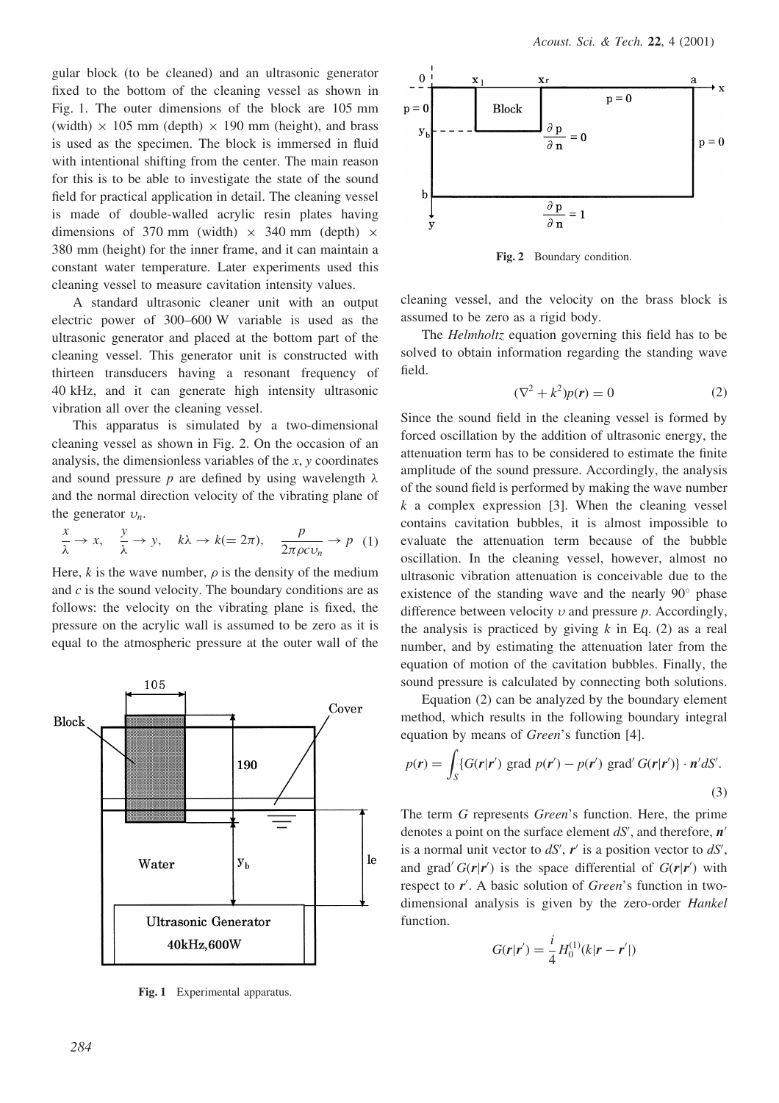gular block (to be cleaned) and an ultrasonic generator fixed to the bottom of the cleaning vessel as shown in Fig. 1. The outer dimensions of the block are 105 mm (width)  $\times$  105 mm (depth)  $\times$  190 mm (height), and brass is used as the specimen. The block is immersed in fluid with intentional shifting from the center. The main reason for this is to be able to investigate the state of the sound field for practical application in detail. The cleaning vessel is made of double-walled acrylic resin plates having dimensions of 370 mm (width)  $\times$  340 mm (depth)  $\times$ 380 mm (height) for the inner frame, and it can maintain a constant water temperature. Later experiments used this cleaning vessel to measure cavitation intensity values.

A standard ultrasonic cleaner unit with an output electric power of 300–600 W variable is used as the ultrasonic generator and placed at the bottom part of the cleaning vessel. This generator unit is constructed with thirteen transducers having a resonant frequency of 40 kHz, and it can generate high intensity ultrasonic vibration all over the cleaning vessel.

This apparatus is simulated by a two-dimensional cleaning vessel as shown in Fig. 2. On the occasion of an analysis, the dimensionless variables of the  $x$ ,  $y$  coordinates and sound pressure p are defined by using wavelength  $\lambda$ and the normal direction velocity of the vibrating plane of the generator  $v_n$ .

$$
\frac{x}{\lambda} \to x, \quad \frac{y}{\lambda} \to y, \quad k\lambda \to k (= 2\pi), \quad \frac{p}{2\pi\rho c v_n} \to p \quad (1)
$$

Here, k is the wave number,  $\rho$  is the density of the medium and  $c$  is the sound velocity. The boundary conditions are as follows: the velocity on the vibrating plane is fixed, the pressure on the acrylic wall is assumed to be zero as it is equal to the atmospheric pressure at the outer wall of the



Fig. 1 Experimental apparatus.



Fig. 2 Boundary condition.

cleaning vessel, and the velocity on the brass block is assumed to be zero as a rigid body.

The *Helmholtz* equation governing this field has to be solved to obtain information regarding the standing wave field.

$$
(\nabla^2 + k^2)p(\mathbf{r}) = 0\tag{2}
$$

Since the sound field in the cleaning vessel is formed by forced oscillation by the addition of ultrasonic energy, the attenuation term has to be considered to estimate the finite amplitude of the sound pressure. Accordingly, the analysis of the sound field is performed by making the wave number  $k$  a complex expression [3]. When the cleaning vessel contains cavitation bubbles, it is almost impossible to evaluate the attenuation term because of the bubble oscillation. In the cleaning vessel, however, almost no ultrasonic vibration attenuation is conceivable due to the existence of the standing wave and the nearly  $90^\circ$  phase difference between velocity  $\nu$  and pressure  $p$ . Accordingly, the analysis is practiced by giving  $k$  in Eq. (2) as a real number, and by estimating the attenuation later from the equation of motion of the cavitation bubbles. Finally, the sound pressure is calculated by connecting both solutions.

Equation (2) can be analyzed by the boundary element method, which results in the following boundary integral equation by means of Green's function [4].

$$
p(\mathbf{r}) = \int_{S} \{ G(\mathbf{r}|\mathbf{r}') \text{ grad } p(\mathbf{r}') - p(\mathbf{r}') \text{ grad } G(\mathbf{r}|\mathbf{r}') \} \cdot \mathbf{n}' dS'.
$$
\n(3)

The term G represents Green's function. Here, the prime denotes a point on the surface element  $dS'$ , and therefore,  $n'$ is a normal unit vector to  $dS'$ ,  $r'$  is a position vector to  $dS'$ , and grad'  $G(r|r')$  is the space differential of  $G(r|r')$  with respect to  $r'$ . A basic solution of Green's function in twodimensional analysis is given by the zero-order Hankel function.

$$
G(r|r') = \frac{i}{4}H_0^{(1)}(k|r - r'|)
$$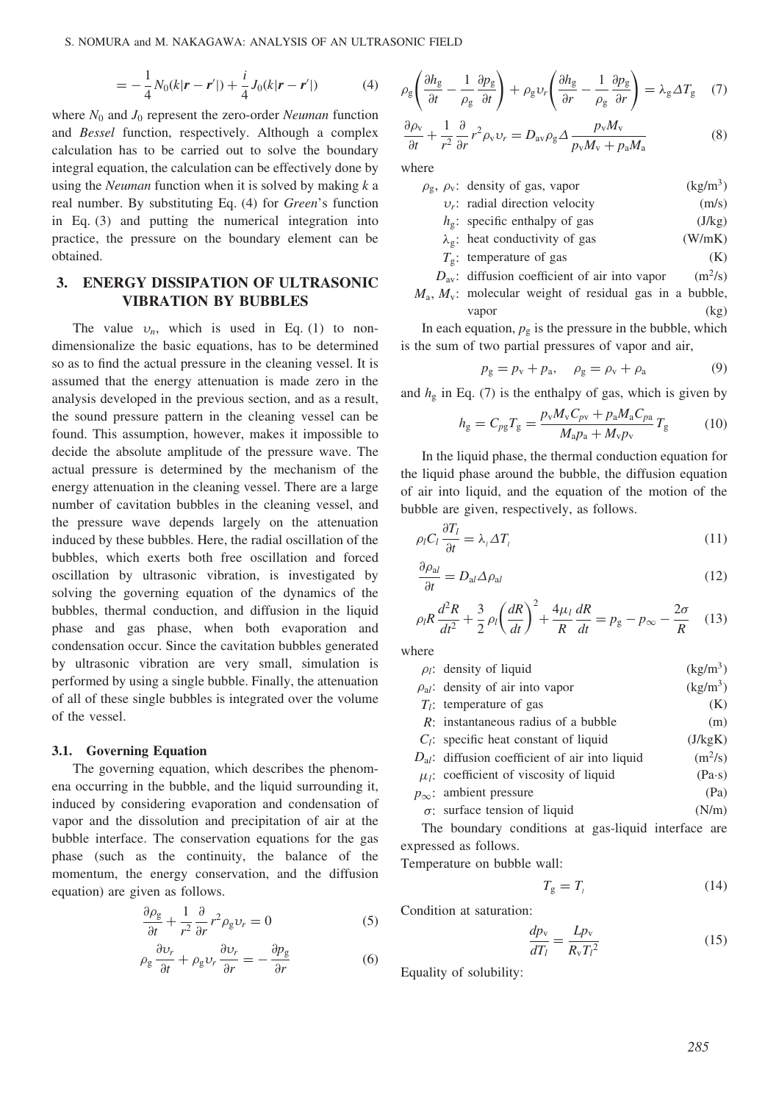S. NOMURA and M. NAKAGAWA: ANALYSIS OF AN ULTRASONIC FIELD

$$
= -\frac{1}{4}N_0(k|\mathbf{r} - \mathbf{r}'|) + \frac{i}{4}J_0(k|\mathbf{r} - \mathbf{r}'|)
$$
(4)

where  $N_0$  and  $J_0$  represent the zero-order *Neuman* function and Bessel function, respectively. Although a complex calculation has to be carried out to solve the boundary integral equation, the calculation can be effectively done by using the *Neuman* function when it is solved by making  $k$  a real number. By substituting Eq. (4) for Green's function in Eq. (3) and putting the numerical integration into practice, the pressure on the boundary element can be obtained.

## 3. ENERGY DISSIPATION OF ULTRASONIC VIBRATION BY BUBBLES

The value  $v_n$ , which is used in Eq. (1) to nondimensionalize the basic equations, has to be determined so as to find the actual pressure in the cleaning vessel. It is assumed that the energy attenuation is made zero in the analysis developed in the previous section, and as a result, the sound pressure pattern in the cleaning vessel can be found. This assumption, however, makes it impossible to decide the absolute amplitude of the pressure wave. The actual pressure is determined by the mechanism of the energy attenuation in the cleaning vessel. There are a large number of cavitation bubbles in the cleaning vessel, and the pressure wave depends largely on the attenuation induced by these bubbles. Here, the radial oscillation of the bubbles, which exerts both free oscillation and forced oscillation by ultrasonic vibration, is investigated by solving the governing equation of the dynamics of the bubbles, thermal conduction, and diffusion in the liquid phase and gas phase, when both evaporation and condensation occur. Since the cavitation bubbles generated by ultrasonic vibration are very small, simulation is performed by using a single bubble. Finally, the attenuation of all of these single bubbles is integrated over the volume of the vessel.

### 3.1. Governing Equation

The governing equation, which describes the phenomena occurring in the bubble, and the liquid surrounding it, induced by considering evaporation and condensation of vapor and the dissolution and precipitation of air at the bubble interface. The conservation equations for the gas phase (such as the continuity, the balance of the momentum, the energy conservation, and the diffusion equation) are given as follows.

$$
\frac{\partial \rho_{g}}{\partial t} + \frac{1}{r^{2}} \frac{\partial}{\partial r} r^{2} \rho_{g} v_{r} = 0
$$
 (5)

$$
\rho_{g}\frac{\partial v_{r}}{\partial t} + \rho_{g}v_{r}\frac{\partial v_{r}}{\partial r} = -\frac{\partial p_{g}}{\partial r}
$$
(6)

$$
\rho_{g}\left(\frac{\partial h_{g}}{\partial t} - \frac{1}{\rho_{g}}\frac{\partial p_{g}}{\partial t}\right) + \rho_{g}v_{r}\left(\frac{\partial h_{g}}{\partial r} - \frac{1}{\rho_{g}}\frac{\partial p_{g}}{\partial r}\right) = \lambda_{g}\Delta T_{g} \quad (7)
$$

$$
\frac{\partial \rho_{v}}{\partial t} + \frac{1}{r^{2}} \frac{\partial}{\partial r} r^{2} \rho_{v} \nu_{r} = D_{\text{av}} \rho_{g} \Delta \frac{p_{v} M_{v}}{p_{v} M_{v} + p_{a} M_{a}}
$$
(8)

where

| $\rho_{\rm g}$ , $\rho_{\rm v}$ : density of gas, vapor | (kg/m <sup>3</sup> ) |
|---------------------------------------------------------|----------------------|
| $v_r$ : radial direction velocity                       | (m/s)                |

- $h_g$ : specific enthalpy of gas (J/kg)
	-
- $\lambda_{\varphi}$ : heat conductivity of gas (W/mK)

$$
T_{\rm g}: \text{ temperature of gas} \tag{K}
$$

 $D_{\text{av}}$ : diffusion coefficient of air into vapor (m<sup>2</sup>/s)  $M_a$ ,  $M_v$ : molecular weight of residual gas in a bubble, vapor (kg)

In each equation,  $p_g$  is the pressure in the bubble, which is the sum of two partial pressures of vapor and air,

$$
p_g = p_v + p_a, \quad \rho_g = \rho_v + \rho_a \tag{9}
$$

and  $h_{\rm g}$  in Eq. (7) is the enthalpy of gas, which is given by

$$
h_{g} = C_{pg} T_{g} = \frac{p_{v} M_{v} C_{pv} + p_{a} M_{a} C_{pa}}{M_{a} p_{a} + M_{v} p_{v}} T_{g}
$$
(10)

In the liquid phase, the thermal conduction equation for the liquid phase around the bubble, the diffusion equation of air into liquid, and the equation of the motion of the bubble are given, respectively, as follows.

$$
\rho_l C_l \frac{\partial T_l}{\partial t} = \lambda_l \Delta T_l \tag{11}
$$

$$
\frac{\partial \rho_{al}}{\partial t} = D_{al} \Delta \rho_{al} \tag{12}
$$

$$
\rho_l R \frac{d^2 R}{dt^2} + \frac{3}{2} \rho_l \left(\frac{dR}{dt}\right)^2 + \frac{4\mu_l}{R} \frac{dR}{dt} = p_g - p_\infty - \frac{2\sigma}{R} \quad (13)
$$

where

| $\rho_l$ : density of liquid                        | $(kg/m^3)$    |
|-----------------------------------------------------|---------------|
| $\rho_{al}$ : density of air into vapor             | $(kg/m^3)$    |
| $T_i$ : temperature of gas                          | (K)           |
| $R$ : instantaneous radius of a bubble              | (m)           |
| $C_1$ : specific heat constant of liquid            | (J/kgK)       |
| $D_{al}$ : diffusion coefficient of air into liquid | $(m^2/s)$     |
| $\mu_l$ : coefficient of viscosity of liquid        | $(Pa\cdot s)$ |
| $p_{\infty}$ : ambient pressure                     | (Pa)          |
| $\sigma$ : surface tension of liquid                | (N/m)         |
| The boundary conditions at gas-liquid interface are |               |

expressed as follows.

Temperature on bubble wall:

$$
T_{\rm g} = T_{\rm l} \tag{14}
$$

Condition at saturation:

$$
\frac{dp_v}{dT_l} = \frac{Lp_v}{R_vT_l^2} \tag{15}
$$

Equality of solubility: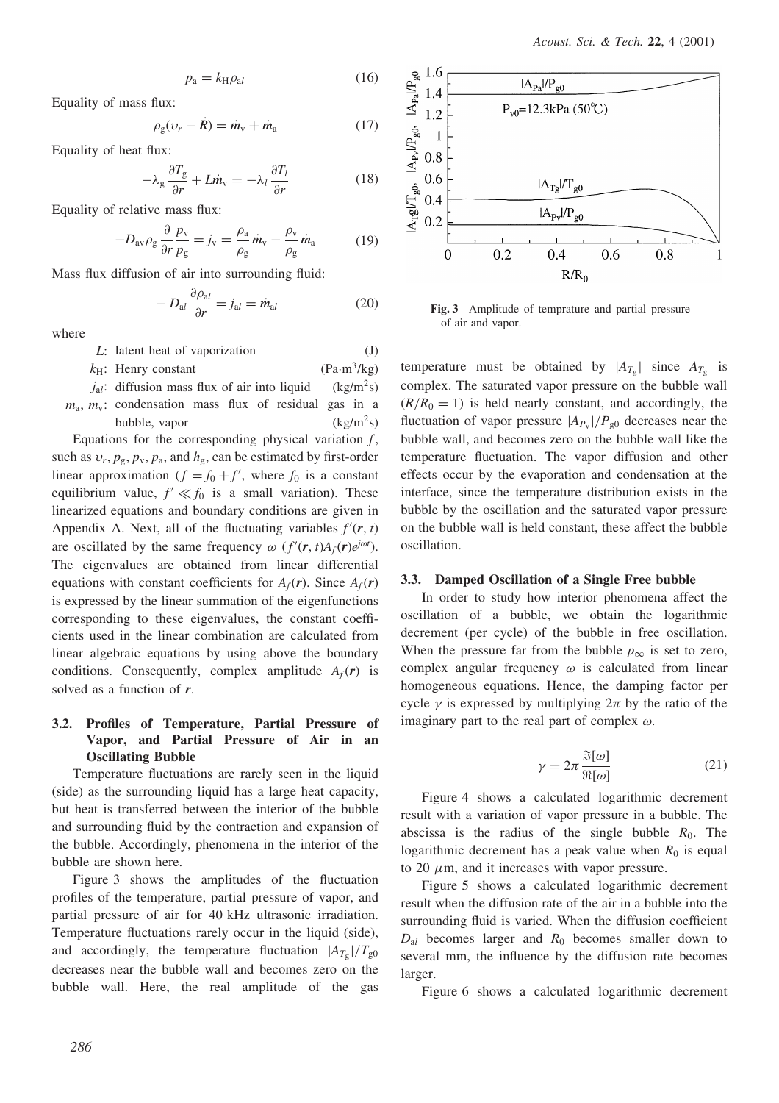$$
p_a = k_H \rho_{al} \tag{16}
$$

Equality of mass flux:

$$
\rho_{\rm g}(\nu_r - \dot{R}) = \dot{m}_{\rm v} + \dot{m}_{\rm a} \tag{17}
$$

Equality of heat flux:

$$
-\lambda_g \frac{\partial T_g}{\partial r} + L \dot{m}_v = -\lambda_l \frac{\partial T_l}{\partial r}
$$
 (18)

Equality of relative mass flux:

$$
-D_{\rm av}\rho_{\rm g}\frac{\partial}{\partial r}\frac{p_{\rm v}}{p_{\rm g}}=j_{\rm v}=\frac{\rho_{\rm a}}{\rho_{\rm g}}\dot{m}_{\rm v}-\frac{\rho_{\rm v}}{\rho_{\rm g}}\dot{m}_{\rm a}\qquad\qquad(19)
$$

Mass flux diffusion of air into surrounding fluid:

$$
-D_{al}\frac{\partial \rho_{al}}{\partial r} = j_{al} = \dot{m}_{al} \tag{20}
$$

where

| L: latent heat of vaporization                              | (J)                   |
|-------------------------------------------------------------|-----------------------|
| $k_H$ : Henry constant                                      | $(Pa \cdot m^3/kg)$   |
| $j_{al}$ : diffusion mass flux of air into liquid           | (kg/m <sup>2</sup> s) |
| $m_a$ , $m_v$ : condensation mass flux of residual gas in a |                       |
| bubble, vapor                                               | (kg/m <sup>2</sup> s) |

Equations for the corresponding physical variation  $f$ , such as  $v_r$ ,  $p_g$ ,  $p_v$ ,  $p_a$ , and  $h_g$ , can be estimated by first-order linear approximation  $(f = f_0 + f'$ , where  $f_0$  is a constant equilibrium value,  $f' \ll f_0$  is a small variation). These linearized equations and boundary conditions are given in Appendix A. Next, all of the fluctuating variables  $f'(r, t)$ are oscillated by the same frequency  $\omega$  ( $f'(r, t)A_f(r)e^{j\omega t}$ ). The eigenvalues are obtained from linear differential equations with constant coefficients for  $A_f(\mathbf{r})$ . Since  $A_f(\mathbf{r})$ is expressed by the linear summation of the eigenfunctions corresponding to these eigenvalues, the constant coefficients used in the linear combination are calculated from linear algebraic equations by using above the boundary conditions. Consequently, complex amplitude  $A_f(\mathbf{r})$  is solved as a function of  $r$ .

## 3.2. Profiles of Temperature, Partial Pressure of Vapor, and Partial Pressure of Air in an Oscillating Bubble

Temperature fluctuations are rarely seen in the liquid (side) as the surrounding liquid has a large heat capacity, but heat is transferred between the interior of the bubble and surrounding fluid by the contraction and expansion of the bubble. Accordingly, phenomena in the interior of the bubble are shown here.

Figure 3 shows the amplitudes of the fluctuation profiles of the temperature, partial pressure of vapor, and partial pressure of air for 40 kHz ultrasonic irradiation. Temperature fluctuations rarely occur in the liquid (side), and accordingly, the temperature fluctuation  $|A_{T_{\varphi}}|/T_{g0}$ decreases near the bubble wall and becomes zero on the bubble wall. Here, the real amplitude of the gas



Fig. 3 Amplitude of temprature and partial pressure of air and vapor.

temperature must be obtained by  $|A_{T_g}|$  since  $A_{T_g}$  is complex. The saturated vapor pressure on the bubble wall  $(R/R_0 = 1)$  is held nearly constant, and accordingly, the fluctuation of vapor pressure  $|A_{P_v}|/P_{g0}$  decreases near the bubble wall, and becomes zero on the bubble wall like the temperature fluctuation. The vapor diffusion and other effects occur by the evaporation and condensation at the interface, since the temperature distribution exists in the bubble by the oscillation and the saturated vapor pressure on the bubble wall is held constant, these affect the bubble oscillation.

#### 3.3. Damped Oscillation of a Single Free bubble

In order to study how interior phenomena affect the oscillation of a bubble, we obtain the logarithmic decrement (per cycle) of the bubble in free oscillation. When the pressure far from the bubble  $p_{\infty}$  is set to zero, complex angular frequency  $\omega$  is calculated from linear homogeneous equations. Hence, the damping factor per cycle  $\gamma$  is expressed by multiplying  $2\pi$  by the ratio of the imaginary part to the real part of complex  $\omega$ .

$$
\gamma = 2\pi \frac{\Im[\omega]}{\Re[\omega]}
$$
 (21)

Figure 4 shows a calculated logarithmic decrement result with a variation of vapor pressure in a bubble. The abscissa is the radius of the single bubble  $R_0$ . The logarithmic decrement has a peak value when  $R_0$  is equal to 20  $\mu$ m, and it increases with vapor pressure.

Figure 5 shows a calculated logarithmic decrement result when the diffusion rate of the air in a bubble into the surrounding fluid is varied. When the diffusion coefficient  $D_{al}$  becomes larger and  $R_0$  becomes smaller down to several mm, the influence by the diffusion rate becomes larger.

Figure 6 shows a calculated logarithmic decrement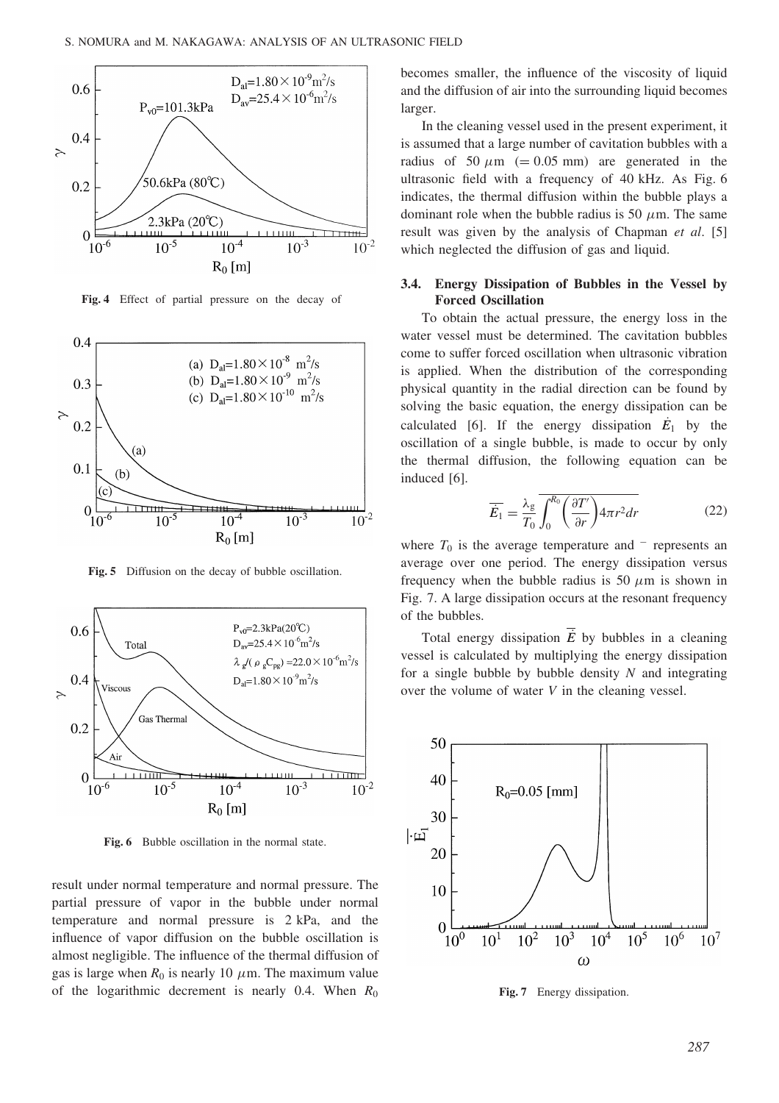

Fig. 4 Effect of partial pressure on the decay of



Fig. 5 Diffusion on the decay of bubble oscillation.



Fig. 6 Bubble oscillation in the normal state.

result under normal temperature and normal pressure. The partial pressure of vapor in the bubble under normal temperature and normal pressure is 2 kPa, and the influence of vapor diffusion on the bubble oscillation is almost negligible. The influence of the thermal diffusion of gas is large when  $R_0$  is nearly 10  $\mu$ m. The maximum value of the logarithmic decrement is nearly 0.4. When  $R_0$  becomes smaller, the influence of the viscosity of liquid and the diffusion of air into the surrounding liquid becomes larger.

In the cleaning vessel used in the present experiment, it is assumed that a large number of cavitation bubbles with a radius of 50  $\mu$ m (= 0.05 mm) are generated in the ultrasonic field with a frequency of 40 kHz. As Fig. 6 indicates, the thermal diffusion within the bubble plays a dominant role when the bubble radius is 50  $\mu$ m. The same result was given by the analysis of Chapman et al. [5] which neglected the diffusion of gas and liquid.

### 3.4. Energy Dissipation of Bubbles in the Vessel by Forced Oscillation

To obtain the actual pressure, the energy loss in the water vessel must be determined. The cavitation bubbles come to suffer forced oscillation when ultrasonic vibration is applied. When the distribution of the corresponding physical quantity in the radial direction can be found by solving the basic equation, the energy dissipation can be calculated [6]. If the energy dissipation  $\dot{E}_1$  by the oscillation of a single bubble, is made to occur by only the thermal diffusion, the following equation can be induced [6].

$$
\overline{\dot{E}_1} = \frac{\lambda_g}{T_0} \overline{\int_0^{R_0} \left(\frac{\partial T'}{\partial r}\right)} 4\pi r^2 dr
$$
 (22)

where  $T_0$  is the average temperature and  $\overline{\phantom{a}}$  represents an average over one period. The energy dissipation versus frequency when the bubble radius is 50  $\mu$ m is shown in Fig. 7. A large dissipation occurs at the resonant frequency of the bubbles.

Total energy dissipation  $\overline{E}$  by bubbles in a cleaning vessel is calculated by multiplying the energy dissipation for a single bubble by bubble density  $N$  and integrating over the volume of water V in the cleaning vessel.



Fig. 7 Energy dissipation.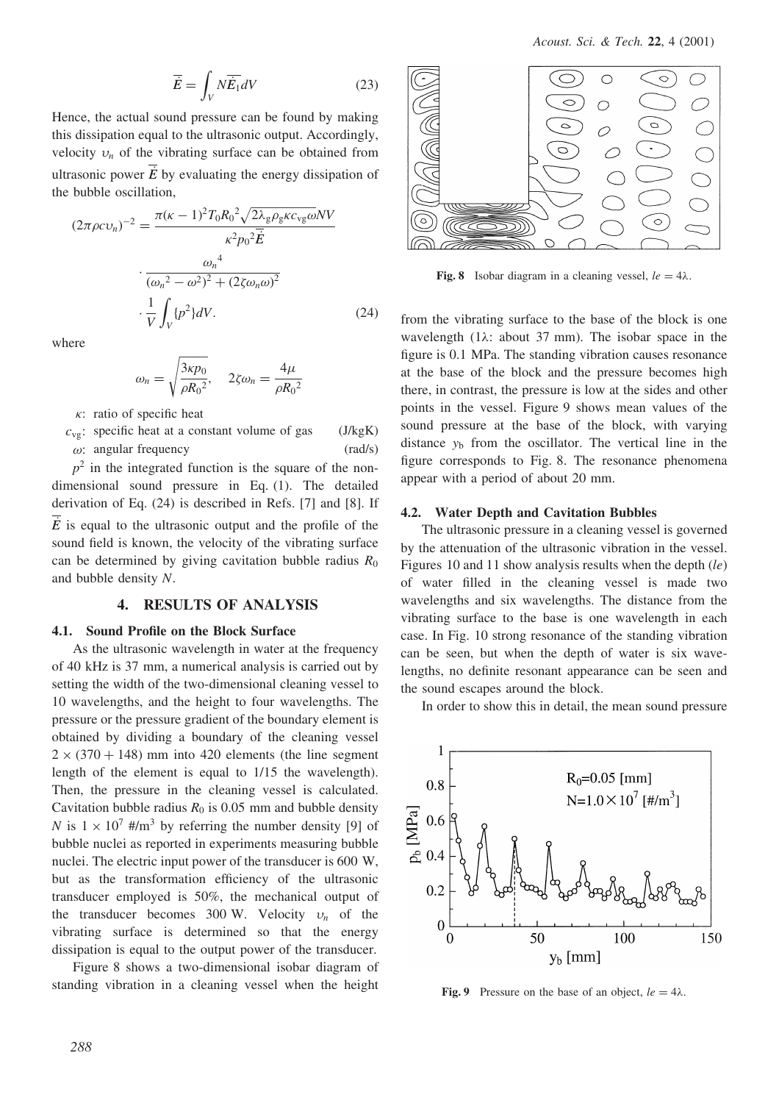$$
\overrightarrow{E} = \int_{V} N \overrightarrow{E_1} dV \tag{23}
$$

Hence, the actual sound pressure can be found by making this dissipation equal to the ultrasonic output. Accordingly, velocity  $v_n$  of the vibrating surface can be obtained from ultrasonic power  $\dot{E}$  by evaluating the energy dissipation of the bubble oscillation,

$$
(2\pi\rho cv_n)^{-2} = \frac{\pi(\kappa - 1)^2 T_0 R_0^2 \sqrt{2\lambda_g \rho_g \kappa c_{vg}\omega} N V}{\kappa^2 p_0^2 \overline{E}}
$$

$$
\cdot \frac{\omega_n^4}{(\omega_n^2 - \omega^2)^2 + (2\zeta \omega_n \omega)^2}
$$

$$
\cdot \frac{1}{V} \int_V \{p^2\} dV.
$$
(24)

where

$$
\omega_n = \sqrt{\frac{3\kappa p_0}{\rho R_0^2}}, \quad 2\zeta \omega_n = \frac{4\mu}{\rho R_0^2}
$$

 $\kappa$ : ratio of specific heat

 $c_{\text{ve}}$ : specific heat at a constant volume of gas (J/kgK)  $\omega$ : angular frequency (rad/s)

 $p<sup>2</sup>$  in the integrated function is the square of the nondimensional sound pressure in Eq. (1). The detailed derivation of Eq. (24) is described in Refs. [7] and [8]. If  $\overline{E}$  is equal to the ultrasonic output and the profile of the sound field is known, the velocity of the vibrating surface can be determined by giving cavitation bubble radius  $R_0$ and bubble density N.

## 4. RESULTS OF ANALYSIS

### 4.1. Sound Profile on the Block Surface

As the ultrasonic wavelength in water at the frequency of 40 kHz is 37 mm, a numerical analysis is carried out by setting the width of the two-dimensional cleaning vessel to 10 wavelengths, and the height to four wavelengths. The pressure or the pressure gradient of the boundary element is obtained by dividing a boundary of the cleaning vessel  $2 \times (370 + 148)$  mm into 420 elements (the line segment length of the element is equal to 1/15 the wavelength). Then, the pressure in the cleaning vessel is calculated. Cavitation bubble radius  $R_0$  is 0.05 mm and bubble density N is  $1 \times 10^7$  #/m<sup>3</sup> by referring the number density [9] of bubble nuclei as reported in experiments measuring bubble nuclei. The electric input power of the transducer is 600 W, but as the transformation efficiency of the ultrasonic transducer employed is 50%, the mechanical output of the transducer becomes 300 W. Velocity  $v_n$  of the vibrating surface is determined so that the energy dissipation is equal to the output power of the transducer.

Figure 8 shows a two-dimensional isobar diagram of standing vibration in a cleaning vessel when the height



Fig. 8 Isobar diagram in a cleaning vessel,  $le = 4\lambda$ .

from the vibrating surface to the base of the block is one wavelength (1 $\lambda$ : about 37 mm). The isobar space in the figure is 0.1 MPa. The standing vibration causes resonance at the base of the block and the pressure becomes high there, in contrast, the pressure is low at the sides and other points in the vessel. Figure 9 shows mean values of the sound pressure at the base of the block, with varying distance  $y<sub>b</sub>$  from the oscillator. The vertical line in the figure corresponds to Fig. 8. The resonance phenomena appear with a period of about 20 mm.

### 4.2. Water Depth and Cavitation Bubbles

The ultrasonic pressure in a cleaning vessel is governed by the attenuation of the ultrasonic vibration in the vessel. Figures 10 and 11 show analysis results when the depth  $(l_e)$ of water filled in the cleaning vessel is made two wavelengths and six wavelengths. The distance from the vibrating surface to the base is one wavelength in each case. In Fig. 10 strong resonance of the standing vibration can be seen, but when the depth of water is six wavelengths, no definite resonant appearance can be seen and the sound escapes around the block.

In order to show this in detail, the mean sound pressure



Fig. 9 Pressure on the base of an object,  $le = 4\lambda$ .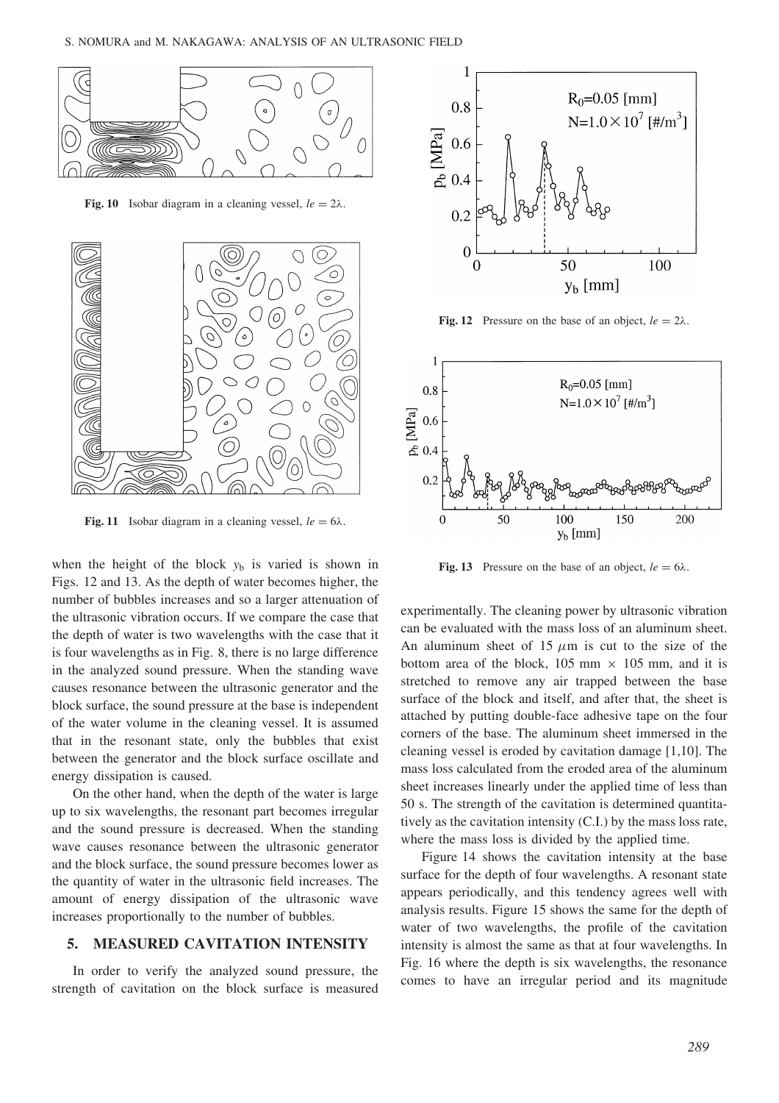

Fig. 10 Isobar diagram in a cleaning vessel,  $le = 2\lambda$ .



Fig. 11 Isobar diagram in a cleaning vessel,  $le = 6\lambda$ .

when the height of the block  $y<sub>b</sub>$  is varied is shown in Figs. 12 and 13. As the depth of water becomes higher, the number of bubbles increases and so a larger attenuation of the ultrasonic vibration occurs. If we compare the case that the depth of water is two wavelengths with the case that it is four wavelengths as in Fig. 8, there is no large difference in the analyzed sound pressure. When the standing wave causes resonance between the ultrasonic generator and the block surface, the sound pressure at the base is independent of the water volume in the cleaning vessel. It is assumed that in the resonant state, only the bubbles that exist between the generator and the block surface oscillate and energy dissipation is caused.

On the other hand, when the depth of the water is large up to six wavelengths, the resonant part becomes irregular and the sound pressure is decreased. When the standing wave causes resonance between the ultrasonic generator and the block surface, the sound pressure becomes lower as the quantity of water in the ultrasonic field increases. The amount of energy dissipation of the ultrasonic wave increases proportionally to the number of bubbles.

#### 5. MEASURED CAVITATION INTENSITY

In order to verify the analyzed sound pressure, the strength of cavitation on the block surface is measured



Fig. 12 Pressure on the base of an object,  $le = 2\lambda$ .



Fig. 13 Pressure on the base of an object,  $le = 6\lambda$ .

experimentally. The cleaning power by ultrasonic vibration can be evaluated with the mass loss of an aluminum sheet. An aluminum sheet of 15  $\mu$ m is cut to the size of the bottom area of the block, 105 mm  $\times$  105 mm, and it is stretched to remove any air trapped between the base surface of the block and itself, and after that, the sheet is attached by putting double-face adhesive tape on the four corners of the base. The aluminum sheet immersed in the cleaning vessel is eroded by cavitation damage [1,10]. The mass loss calculated from the eroded area of the aluminum sheet increases linearly under the applied time of less than 50 s. The strength of the cavitation is determined quantitatively as the cavitation intensity (C.I.) by the mass loss rate, where the mass loss is divided by the applied time.

Figure 14 shows the cavitation intensity at the base surface for the depth of four wavelengths. A resonant state appears periodically, and this tendency agrees well with analysis results. Figure 15 shows the same for the depth of water of two wavelengths, the profile of the cavitation intensity is almost the same as that at four wavelengths. In Fig. 16 where the depth is six wavelengths, the resonance comes to have an irregular period and its magnitude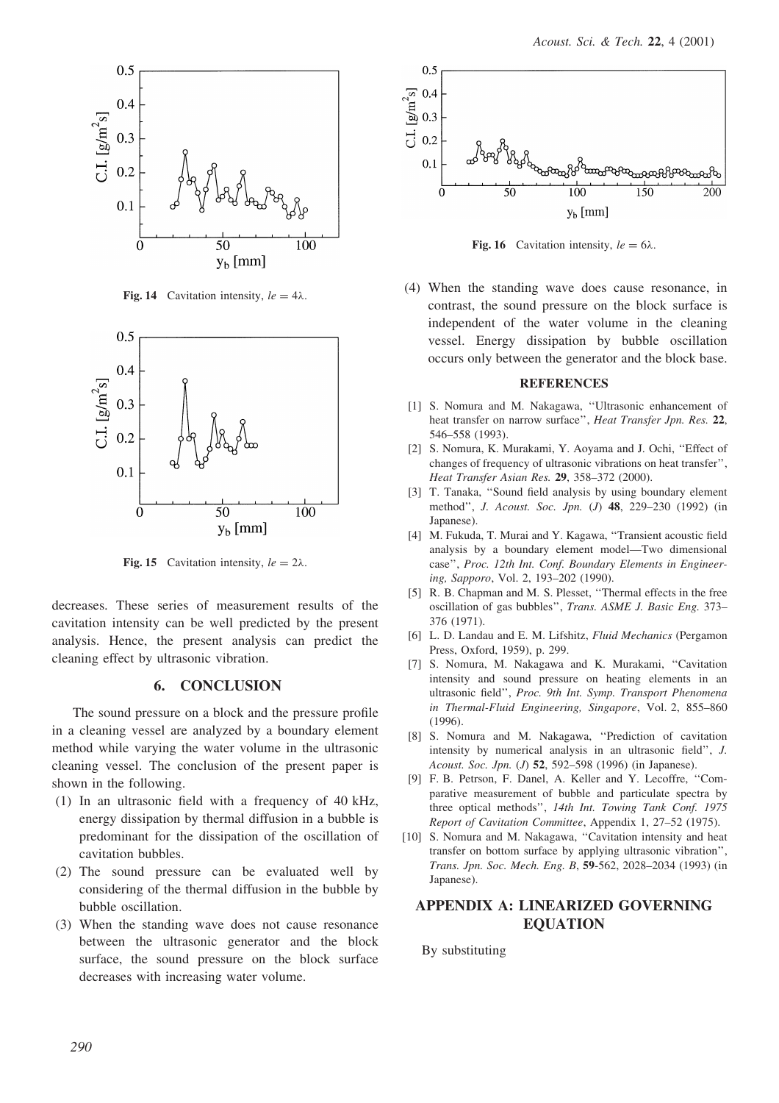

Fig. 14 Cavitation intensity,  $le = 4\lambda$ .



Fig. 15 Cavitation intensity,  $le = 2\lambda$ .

decreases. These series of measurement results of the cavitation intensity can be well predicted by the present analysis. Hence, the present analysis can predict the cleaning effect by ultrasonic vibration.

## 6. CONCLUSION

The sound pressure on a block and the pressure profile in a cleaning vessel are analyzed by a boundary element method while varying the water volume in the ultrasonic cleaning vessel. The conclusion of the present paper is shown in the following.

- (1) In an ultrasonic field with a frequency of 40 kHz, energy dissipation by thermal diffusion in a bubble is predominant for the dissipation of the oscillation of cavitation bubbles.
- (2) The sound pressure can be evaluated well by considering of the thermal diffusion in the bubble by bubble oscillation.
- (3) When the standing wave does not cause resonance between the ultrasonic generator and the block surface, the sound pressure on the block surface decreases with increasing water volume.



Fig. 16 Cavitation intensity,  $le = 6\lambda$ .

(4) When the standing wave does cause resonance, in contrast, the sound pressure on the block surface is independent of the water volume in the cleaning vessel. Energy dissipation by bubble oscillation occurs only between the generator and the block base.

#### **REFERENCES**

- [1] S. Nomura and M. Nakagawa, ''Ultrasonic enhancement of heat transfer on narrow surface'', Heat Transfer Jpn. Res. 22, 546–558 (1993).
- [2] S. Nomura, K. Murakami, Y. Aoyama and J. Ochi, "Effect of changes of frequency of ultrasonic vibrations on heat transfer'', Heat Transfer Asian Res. 29, 358–372 (2000).
- [3] T. Tanaka, "Sound field analysis by using boundary element method'', J. Acoust. Soc. Jpn. (J) 48, 229–230 (1992) (in Japanese).
- [4] M. Fukuda, T. Murai and Y. Kagawa, ''Transient acoustic field analysis by a boundary element model—Two dimensional case'', Proc. 12th Int. Conf. Boundary Elements in Engineering, Sapporo, Vol. 2, 193–202 (1990).
- [5] R. B. Chapman and M. S. Plesset, "Thermal effects in the free oscillation of gas bubbles'', Trans. ASME J. Basic Eng. 373– 376 (1971).
- [6] L. D. Landau and E. M. Lifshitz, Fluid Mechanics (Pergamon Press, Oxford, 1959), p. 299.
- [7] S. Nomura, M. Nakagawa and K. Murakami, ''Cavitation intensity and sound pressure on heating elements in an ultrasonic field'', Proc. 9th Int. Symp. Transport Phenomena in Thermal-Fluid Engineering, Singapore, Vol. 2, 855–860 (1996).
- [8] S. Nomura and M. Nakagawa, ''Prediction of cavitation intensity by numerical analysis in an ultrasonic field'', J. Acoust. Soc. Jpn. (J) 52, 592-598 (1996) (in Japanese).
- [9] F. B. Petrson, F. Danel, A. Keller and Y. Lecoffre, ''Comparative measurement of bubble and particulate spectra by three optical methods'', 14th Int. Towing Tank Conf. 1975 Report of Cavitation Committee, Appendix 1, 27–52 (1975).
- [10] S. Nomura and M. Nakagawa, "Cavitation intensity and heat transfer on bottom surface by applying ultrasonic vibration'', Trans. Jpn. Soc. Mech. Eng. B, 59-562, 2028–2034 (1993) (in Japanese).

## APPENDIX A: LINEARIZED GOVERNING EQUATION

By substituting